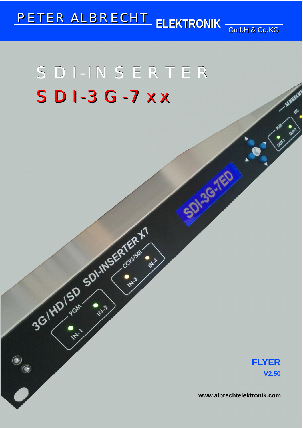# **PETER ALBRECHT** ELEKTRONIK  $\frac{1}{GmbH}$  & Co.KG

# SDI-INSERTER  $SDI-3G-7XX$

3GINDISD SDINUSERTER V1

 $\bullet$ 

**FLYER V2.50**

**www.albrechtelektronik.com**

**SD-36-760**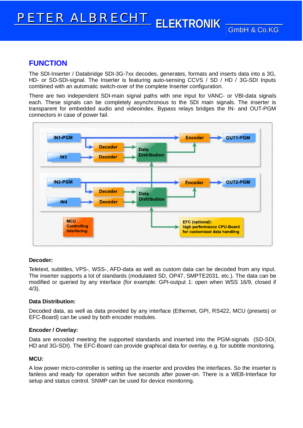## **FUNCTION**

The SDI-Inserter / Databridge SDI-3G-7xx decodes, generates, formats and inserts data into a 3G, HD- or SD-SDI-signal. The Inserter is featuring auto-sensing CCVS / SD / HD / 3G-SDI Inputs combined with an automatic switch-over of the complete Inserter configuration.

There are two independent SDI-main signal paths with one input for VANC- or VBI-data signals each. These signals can be completely asynchronous to the SDI main signals. The inserter is transparent for embedded audio and videoindex. Bypass relays bridges the IN- and OUT-PGM connectors in case of power fail.



## **Decoder:**

Teletext, subtitles, VPS-, WSS-, AFD-data as well as custom data can be decoded from any input. The inserter supports a lot of standards (modulated SD, OP47, SMPTE2031, etc.). The data can be modified or queried by any interface (for example: GPI-output 1: open when WSS 16/9, closed if 4/3).

### **Data Distribution:**

Decoded data, as well as data provided by any interface (Ethernet, GPI, RS422, MCU (presets) or EFC-Board) can be used by both encoder modules.

### **Encoder / Overlay:**

Data are encoded meeting the supported standards and inserted into the PGM-signals (SD-SDI, HD and 3G-SDI). The EFC-Board can provide graphical data for overlay, e.g. for subtitle monitoring.

## **MCU:**

A low power micro-controller is setting up the inserter and provides the interfaces. So the inserter is fanless and ready for operation within five seconds after power-on. There is a WEB-Interface for setup and status control. SNMP can be used for device monitoring.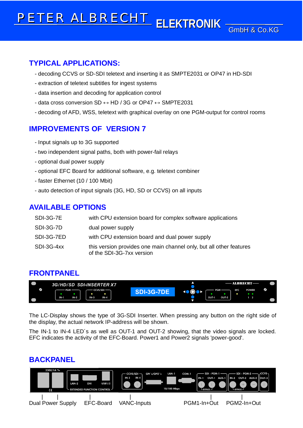## **TYPICAL APPLICATIONS:**

- decoding CCVS or SD-SDI teletext and inserting it as SMPTE2031 or OP47 in HD-SDI
- extraction of teletext subtitles for ingest systems
- data insertion and decoding for application control
- data cross conversion SD  $\leftrightarrow$  HD / 3G or OP47  $\leftrightarrow$  SMPTE2031
- decoding of AFD, WSS, teletext with graphical overlay on one PGM-output for control rooms

# **IMPROVEMENTS OF VERSION 7**

- Input signals up to 3G supported
- two independent signal paths, both with power-fail relays
- optional dual power supply
- optional EFC Board for additional software, e.g. teletext combiner
- faster Ethernet (10 / 100 Mbit)
- auto detection of input signals (3G, HD, SD or CCVS) on all inputs

## **AVAILABLE OPTIONS**

| SDI-3G-7E  | with CPU extension board for complex software applications                                       |
|------------|--------------------------------------------------------------------------------------------------|
| SDI-3G-7D  | dual power supply                                                                                |
| SDI-3G-7ED | with CPU extension board and dual power supply                                                   |
| SDI-3G-4xx | this version provides one main channel only, but all other features<br>of the SDI-3G-7xx version |

## **FRONTPANEL**



The LC-Display shows the type of 3G-SDI Inserter. When pressing any button on the right side of the display, the actual network IP-address will be shown.

The IN-1 to IN-4 LED´s as well as OUT-1 and OUT-2 showing, that the video signals are locked. EFC indicates the activity of the EFC-Board. Power1 and Power2 signals 'power-good'.

## **BACKPANEL**

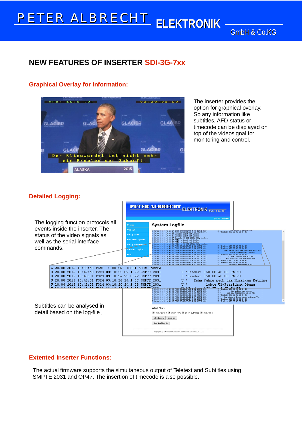**GmbH & Co.KG** 

## **NEW FEATURES OF INSERTER SDI-3G-7xx**

## **Graphical Overlay for Information:**



The inserter provides the option for graphical overlay. So any information like subtitles, AFD-status or timecode can be displayed on top of the videosignal for monitoring and control.

## **Detailed Logging:**



## **Extented Inserter Functions:**

The actual firmware supports the simultaneous output of Teletext and Subtitles using SMPTE 2031 and OP47. The insertion of timecode is also possible.